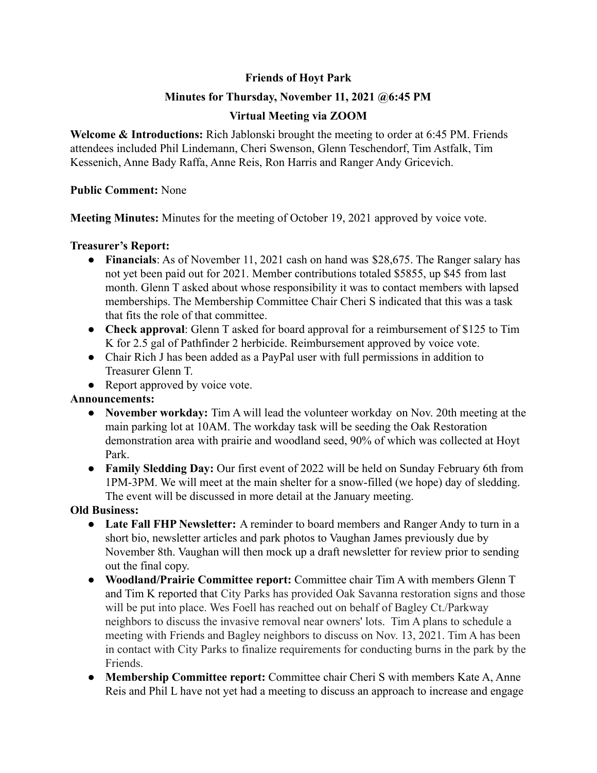# **Friends of Hoyt Park**

## **Minutes for Thursday, November 11, 2021 @6:45 PM**

# **Virtual Meeting via ZOOM**

**Welcome & Introductions:** Rich Jablonski brought the meeting to order at 6:45 PM. Friends attendees included Phil Lindemann, Cheri Swenson, Glenn Teschendorf, Tim Astfalk, Tim Kessenich, Anne Bady Raffa, Anne Reis, Ron Harris and Ranger Andy Gricevich.

#### **Public Comment:** None

**Meeting Minutes:** Minutes for the meeting of October 19, 2021 approved by voice vote.

### **Treasurer's Report:**

- **Financials**: As of November 11, 2021 cash on hand was \$28,675. The Ranger salary has not yet been paid out for 2021. Member contributions totaled \$5855, up \$45 from last month. Glenn T asked about whose responsibility it was to contact members with lapsed memberships. The Membership Committee Chair Cheri S indicated that this was a task that fits the role of that committee.
- **Check approval**: Glenn T asked for board approval for a reimbursement of \$125 to Tim K for 2.5 gal of Pathfinder 2 herbicide. Reimbursement approved by voice vote.
- Chair Rich J has been added as a PayPal user with full permissions in addition to Treasurer Glenn T.
- Report approved by voice vote.

### **Announcements:**

- **● November workday:** Tim A will lead the volunteer workday on Nov. 20th meeting at the main parking lot at 10AM. The workday task will be seeding the Oak Restoration demonstration area with prairie and woodland seed, 90% of which was collected at Hoyt Park.
- **● Family Sledding Day:** Our first event of 2022 will be held on Sunday February 6th from 1PM-3PM. We will meet at the main shelter for a snow-filled (we hope) day of sledding. The event will be discussed in more detail at the January meeting.

### **Old Business:**

- **● Late Fall FHP Newsletter:** A reminder to board members and Ranger Andy to turn in a short bio, newsletter articles and park photos to Vaughan James previously due by November 8th. Vaughan will then mock up a draft newsletter for review prior to sending out the final copy.
- **● Woodland/Prairie Committee report:** Committee chair Tim A with members Glenn T and Tim K reported that City Parks has provided Oak Savanna restoration signs and those will be put into place. Wes Foell has reached out on behalf of Bagley Ct./Parkway neighbors to discuss the invasive removal near owners' lots. Tim A plans to schedule a meeting with Friends and Bagley neighbors to discuss on Nov. 13, 2021. Tim A has been in contact with City Parks to finalize requirements for conducting burns in the park by the Friends.
- **● Membership Committee report:** Committee chair Cheri S with members Kate A, Anne Reis and Phil L have not yet had a meeting to discuss an approach to increase and engage